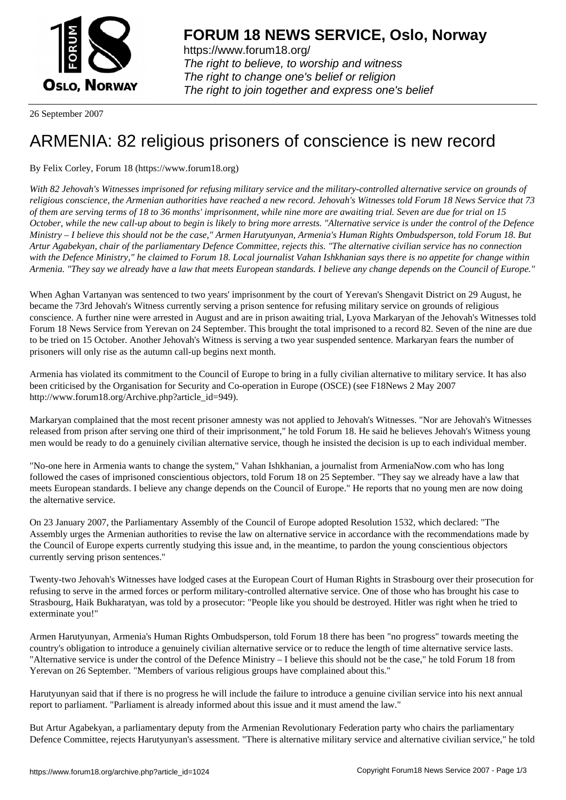

https://www.forum18.org/ The right to believe, to worship and witness The right to change one's belief or religion [The right to join together a](https://www.forum18.org/)nd express one's belief

26 September 2007

## [ARMENIA: 82 r](https://www.forum18.org)eligious prisoners of conscience is new record

By Felix Corley, Forum 18 (https://www.forum18.org)

*With 82 Jehovah's Witnesses imprisoned for refusing military service and the military-controlled alternative service on grounds of religious conscience, the Armenian authorities have reached a new record. Jehovah's Witnesses told Forum 18 News Service that 73 of them are serving terms of 18 to 36 months' imprisonment, while nine more are awaiting trial. Seven are due for trial on 15 October, while the new call-up about to begin is likely to bring more arrests. "Alternative service is under the control of the Defence Ministry – I believe this should not be the case," Armen Harutyunyan, Armenia's Human Rights Ombudsperson, told Forum 18. But Artur Agabekyan, chair of the parliamentary Defence Committee, rejects this. "The alternative civilian service has no connection with the Defence Ministry," he claimed to Forum 18. Local journalist Vahan Ishkhanian says there is no appetite for change within Armenia. "They say we already have a law that meets European standards. I believe any change depends on the Council of Europe."*

When Aghan Vartanyan was sentenced to two years' imprisonment by the court of Yerevan's Shengavit District on 29 August, he became the 73rd Jehovah's Witness currently serving a prison sentence for refusing military service on grounds of religious conscience. A further nine were arrested in August and are in prison awaiting trial, Lyova Markaryan of the Jehovah's Witnesses told Forum 18 News Service from Yerevan on 24 September. This brought the total imprisoned to a record 82. Seven of the nine are due to be tried on 15 October. Another Jehovah's Witness is serving a two year suspended sentence. Markaryan fears the number of prisoners will only rise as the autumn call-up begins next month.

Armenia has violated its commitment to the Council of Europe to bring in a fully civilian alternative to military service. It has also been criticised by the Organisation for Security and Co-operation in Europe (OSCE) (see F18News 2 May 2007 http://www.forum18.org/Archive.php?article\_id=949).

Markaryan complained that the most recent prisoner amnesty was not applied to Jehovah's Witnesses. "Nor are Jehovah's Witnesses released from prison after serving one third of their imprisonment," he told Forum 18. He said he believes Jehovah's Witness young men would be ready to do a genuinely civilian alternative service, though he insisted the decision is up to each individual member.

"No-one here in Armenia wants to change the system," Vahan Ishkhanian, a journalist from ArmeniaNow.com who has long followed the cases of imprisoned conscientious objectors, told Forum 18 on 25 September. "They say we already have a law that meets European standards. I believe any change depends on the Council of Europe." He reports that no young men are now doing the alternative service.

On 23 January 2007, the Parliamentary Assembly of the Council of Europe adopted Resolution 1532, which declared: "The Assembly urges the Armenian authorities to revise the law on alternative service in accordance with the recommendations made by the Council of Europe experts currently studying this issue and, in the meantime, to pardon the young conscientious objectors currently serving prison sentences."

Twenty-two Jehovah's Witnesses have lodged cases at the European Court of Human Rights in Strasbourg over their prosecution for refusing to serve in the armed forces or perform military-controlled alternative service. One of those who has brought his case to Strasbourg, Haik Bukharatyan, was told by a prosecutor: "People like you should be destroyed. Hitler was right when he tried to exterminate you!"

Armen Harutyunyan, Armenia's Human Rights Ombudsperson, told Forum 18 there has been "no progress" towards meeting the country's obligation to introduce a genuinely civilian alternative service or to reduce the length of time alternative service lasts. "Alternative service is under the control of the Defence Ministry – I believe this should not be the case," he told Forum 18 from Yerevan on 26 September. "Members of various religious groups have complained about this."

Harutyunyan said that if there is no progress he will include the failure to introduce a genuine civilian service into his next annual report to parliament. "Parliament is already informed about this issue and it must amend the law."

But Artur Agabekyan, a parliamentary deputy from the Armenian Revolutionary Federation party who chairs the parliamentary Defence Committee, rejects Harutyunyan's assessment. "There is alternative military service and alternative civilian service," he told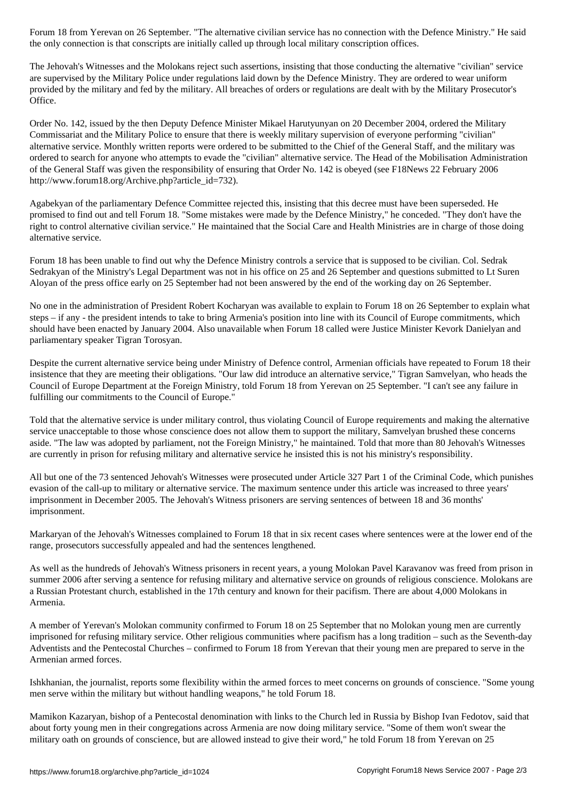the only connection is that conscripts are initially called up through local military conscription offices.

The Jehovah's Witnesses and the Molokans reject such assertions, insisting that those conducting the alternative "civilian" service are supervised by the Military Police under regulations laid down by the Defence Ministry. They are ordered to wear uniform provided by the military and fed by the military. All breaches of orders or regulations are dealt with by the Military Prosecutor's Office.

Order No. 142, issued by the then Deputy Defence Minister Mikael Harutyunyan on 20 December 2004, ordered the Military Commissariat and the Military Police to ensure that there is weekly military supervision of everyone performing "civilian" alternative service. Monthly written reports were ordered to be submitted to the Chief of the General Staff, and the military was ordered to search for anyone who attempts to evade the "civilian" alternative service. The Head of the Mobilisation Administration of the General Staff was given the responsibility of ensuring that Order No. 142 is obeyed (see F18News 22 February 2006 http://www.forum18.org/Archive.php?article\_id=732).

Agabekyan of the parliamentary Defence Committee rejected this, insisting that this decree must have been superseded. He promised to find out and tell Forum 18. "Some mistakes were made by the Defence Ministry," he conceded. "They don't have the right to control alternative civilian service." He maintained that the Social Care and Health Ministries are in charge of those doing alternative service.

Forum 18 has been unable to find out why the Defence Ministry controls a service that is supposed to be civilian. Col. Sedrak Sedrakyan of the Ministry's Legal Department was not in his office on 25 and 26 September and questions submitted to Lt Suren Aloyan of the press office early on 25 September had not been answered by the end of the working day on 26 September.

No one in the administration of President Robert Kocharyan was available to explain to Forum 18 on 26 September to explain what steps – if any - the president intends to take to bring Armenia's position into line with its Council of Europe commitments, which should have been enacted by January 2004. Also unavailable when Forum 18 called were Justice Minister Kevork Danielyan and parliamentary speaker Tigran Torosyan.

Despite the current alternative service being under Ministry of Defence control, Armenian officials have repeated to Forum 18 their insistence that they are meeting their obligations. "Our law did introduce an alternative service," Tigran Samvelyan, who heads the Council of Europe Department at the Foreign Ministry, told Forum 18 from Yerevan on 25 September. "I can't see any failure in fulfilling our commitments to the Council of Europe."

Told that the alternative service is under military control, thus violating Council of Europe requirements and making the alternative service unacceptable to those whose conscience does not allow them to support the military, Samvelyan brushed these concerns aside. "The law was adopted by parliament, not the Foreign Ministry," he maintained. Told that more than 80 Jehovah's Witnesses are currently in prison for refusing military and alternative service he insisted this is not his ministry's responsibility.

All but one of the 73 sentenced Jehovah's Witnesses were prosecuted under Article 327 Part 1 of the Criminal Code, which punishes evasion of the call-up to military or alternative service. The maximum sentence under this article was increased to three years' imprisonment in December 2005. The Jehovah's Witness prisoners are serving sentences of between 18 and 36 months' imprisonment.

Markaryan of the Jehovah's Witnesses complained to Forum 18 that in six recent cases where sentences were at the lower end of the range, prosecutors successfully appealed and had the sentences lengthened.

As well as the hundreds of Jehovah's Witness prisoners in recent years, a young Molokan Pavel Karavanov was freed from prison in summer 2006 after serving a sentence for refusing military and alternative service on grounds of religious conscience. Molokans are a Russian Protestant church, established in the 17th century and known for their pacifism. There are about 4,000 Molokans in Armenia.

A member of Yerevan's Molokan community confirmed to Forum 18 on 25 September that no Molokan young men are currently imprisoned for refusing military service. Other religious communities where pacifism has a long tradition – such as the Seventh-day Adventists and the Pentecostal Churches – confirmed to Forum 18 from Yerevan that their young men are prepared to serve in the Armenian armed forces.

Ishkhanian, the journalist, reports some flexibility within the armed forces to meet concerns on grounds of conscience. "Some young men serve within the military but without handling weapons," he told Forum 18.

Mamikon Kazaryan, bishop of a Pentecostal denomination with links to the Church led in Russia by Bishop Ivan Fedotov, said that about forty young men in their congregations across Armenia are now doing military service. "Some of them won't swear the military oath on grounds of conscience, but are allowed instead to give their word," he told Forum 18 from Yerevan on 25